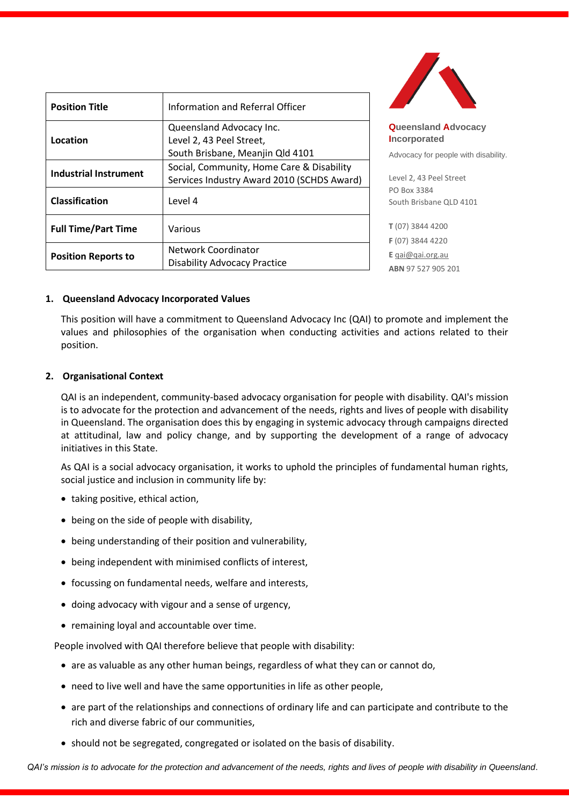| <b>Position Title</b>        | Information and Referral Officer                                                         |
|------------------------------|------------------------------------------------------------------------------------------|
| Location                     | Queensland Advocacy Inc.<br>Level 2, 43 Peel Street,<br>South Brisbane, Meanjin Qld 4101 |
| <b>Industrial Instrument</b> | Social, Community, Home Care & Disability<br>Services Industry Award 2010 (SCHDS Award)  |
| <b>Classification</b>        | Level 4                                                                                  |
| <b>Full Time/Part Time</b>   | Various                                                                                  |
| <b>Position Reports to</b>   | Network Coordinator<br><b>Disability Advocacy Practice</b>                               |



**Queensland Advocacy Incorporated** 

ocacy for people with disability.

el 2, 43 Peel Street Box 3384 th Brisbane QLD 4101

**T** (07) 3844 4200 **F** (07) 3844 4220 **E** [qai@qai.org.au](mailto:qai@qai.org.au) **ABN** 97 527 905 201

#### **1. Queensland Advocacy Incorporated Values**

This position will have a commitment to Queensland Advocacy Inc (QAI) to promote and implement the values and philosophies of the organisation when conducting activities and actions related to their position.

### **2. Organisational Context**

QAI is an independent, community-based advocacy organisation for people with disability. QAI's mission is to advocate for the protection and advancement of the needs, rights and lives of people with disability in Queensland. The organisation does this by engaging in systemic advocacy through campaigns directed at attitudinal, law and policy change, and by supporting the development of a range of advocacy initiatives in this State.

As QAI is a social advocacy organisation, it works to uphold the principles of fundamental human rights, social justice and inclusion in community life by:

- taking positive, ethical action,
- being on the side of people with disability,
- being understanding of their position and vulnerability,
- being independent with minimised conflicts of interest,
- focussing on fundamental needs, welfare and interests,
- doing advocacy with vigour and a sense of urgency,
- remaining loyal and accountable over time.

People involved with QAI therefore believe that people with disability:

- are as valuable as any other human beings, regardless of what they can or cannot do,
- need to live well and have the same opportunities in life as other people,
- are part of the relationships and connections of ordinary life and can participate and contribute to the rich and diverse fabric of our communities,
- should not be segregated, congregated or isolated on the basis of disability.

*QAI's mission is to advocate for the protection and advancement of the needs, rights and lives of people with disability in Queensland*.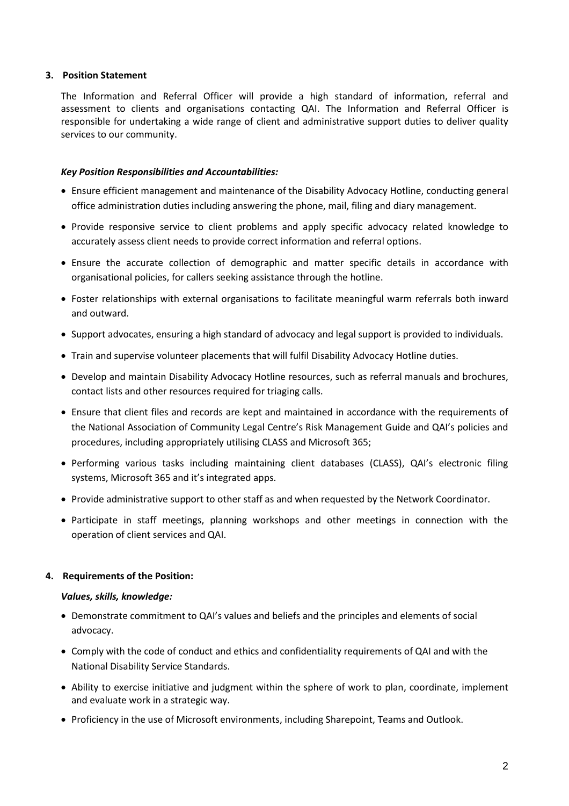### **3. Position Statement**

The Information and Referral Officer will provide a high standard of information, referral and assessment to clients and organisations contacting QAI. The Information and Referral Officer is responsible for undertaking a wide range of client and administrative support duties to deliver quality services to our community.

### *Key Position Responsibilities and Accountabilities:*

- Ensure efficient management and maintenance of the Disability Advocacy Hotline, conducting general office administration duties including answering the phone, mail, filing and diary management.
- Provide responsive service to client problems and apply specific advocacy related knowledge to accurately assess client needs to provide correct information and referral options.
- Ensure the accurate collection of demographic and matter specific details in accordance with organisational policies, for callers seeking assistance through the hotline.
- Foster relationships with external organisations to facilitate meaningful warm referrals both inward and outward.
- Support advocates, ensuring a high standard of advocacy and legal support is provided to individuals.
- Train and supervise volunteer placements that will fulfil Disability Advocacy Hotline duties.
- Develop and maintain Disability Advocacy Hotline resources, such as referral manuals and brochures, contact lists and other resources required for triaging calls.
- Ensure that client files and records are kept and maintained in accordance with the requirements of the National Association of Community Legal Centre's Risk Management Guide and QAI's policies and procedures, including appropriately utilising CLASS and Microsoft 365;
- Performing various tasks including maintaining client databases (CLASS), QAI's electronic filing systems, Microsoft 365 and it's integrated apps.
- Provide administrative support to other staff as and when requested by the Network Coordinator.
- Participate in staff meetings, planning workshops and other meetings in connection with the operation of client services and QAI.

#### **4. Requirements of the Position:**

#### *Values, skills, knowledge:*

- Demonstrate commitment to QAI's values and beliefs and the principles and elements of social advocacy.
- Comply with the code of conduct and ethics and confidentiality requirements of QAI and with the National Disability Service Standards.
- Ability to exercise initiative and judgment within the sphere of work to plan, coordinate, implement and evaluate work in a strategic way.
- Proficiency in the use of Microsoft environments, including Sharepoint, Teams and Outlook.